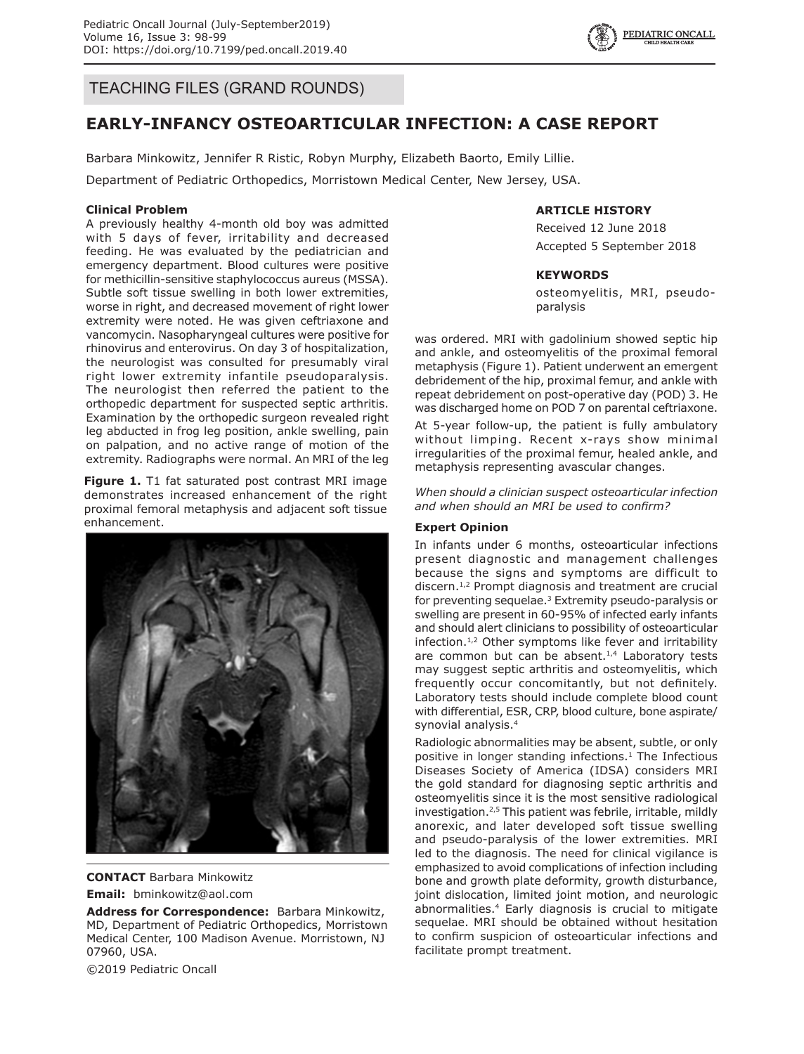

TEACHING FILES (GRAND ROUNDS)

# **EARLY-INFANCY OSTEOARTICULAR INFECTION: A CASE REPORT**

Barbara Minkowitz, Jennifer R Ristic, Robyn Murphy, Elizabeth Baorto, Emily Lillie.

Department of Pediatric Orthopedics, Morristown Medical Center, New Jersey, USA.

### **Clinical Problem**

A previously healthy 4-month old boy was admitted with 5 days of fever, irritability and decreased feeding. He was evaluated by the pediatrician and emergency department. Blood cultures were positive for methicillin-sensitive staphylococcus aureus (MSSA). Subtle soft tissue swelling in both lower extremities, worse in right, and decreased movement of right lower extremity were noted. He was given ceftriaxone and vancomycin. Nasopharyngeal cultures were positive for rhinovirus and enterovirus. On day 3 of hospitalization, the neurologist was consulted for presumably viral right lower extremity infantile pseudoparalysis. The neurologist then referred the patient to the orthopedic department for suspected septic arthritis. Examination by the orthopedic surgeon revealed right leg abducted in frog leg position, ankle swelling, pain on palpation, and no active range of motion of the extremity. Radiographs were normal. An MRI of the leg

**Figure 1.** T1 fat saturated post contrast MRI image demonstrates increased enhancement of the right proximal femoral metaphysis and adjacent soft tissue enhancement.



**CONTACT** Barbara Minkowitz

**Email:** bminkowitz@aol.com

**Address for Correspondence:** Barbara Minkowitz, MD, Department of Pediatric Orthopedics, Morristown Medical Center, 100 Madison Avenue. Morristown, NJ 07960, USA.

©2019 Pediatric Oncall

## **ARTICLE HISTORY**

Received 12 June 2018 Accepted 5 September 2018

#### **KEYWORDS**

osteomyelitis, MRI, pseudoparalysis

was ordered. MRI with gadolinium showed septic hip and ankle, and osteomyelitis of the proximal femoral metaphysis (Figure 1). Patient underwent an emergent debridement of the hip, proximal femur, and ankle with repeat debridement on post-operative day (POD) 3. He was discharged home on POD 7 on parental ceftriaxone.

At 5-year follow-up, the patient is fully ambulatory without limping. Recent x-rays show minimal irregularities of the proximal femur, healed ankle, and metaphysis representing avascular changes.

*When should a clinician suspect osteoarticular infection and when should an MRI be used to confirm?*

### **Expert Opinion**

In infants under 6 months, osteoarticular infections present diagnostic and management challenges because the signs and symptoms are difficult to discern.<sup>1,2</sup> Prompt diagnosis and treatment are crucial for preventing sequelae.<sup>3</sup> Extremity pseudo-paralysis or swelling are present in 60-95% of infected early infants and should alert clinicians to possibility of osteoarticular infection.1,2 Other symptoms like fever and irritability are common but can be absent. $1,4$  Laboratory tests may suggest septic arthritis and osteomyelitis, which frequently occur concomitantly, but not definitely. Laboratory tests should include complete blood count with differential, ESR, CRP, blood culture, bone aspirate/ synovial analysis.4

Radiologic abnormalities may be absent, subtle, or only positive in longer standing infections.<sup>1</sup> The Infectious Diseases Society of America (IDSA) considers MRI the gold standard for diagnosing septic arthritis and osteomyelitis since it is the most sensitive radiological investigation.2,5 This patient was febrile, irritable, mildly anorexic, and later developed soft tissue swelling and pseudo-paralysis of the lower extremities. MRI led to the diagnosis. The need for clinical vigilance is emphasized to avoid complications of infection including bone and growth plate deformity, growth disturbance, joint dislocation, limited joint motion, and neurologic abnormalities.4 Early diagnosis is crucial to mitigate sequelae. MRI should be obtained without hesitation to confirm suspicion of osteoarticular infections and facilitate prompt treatment.